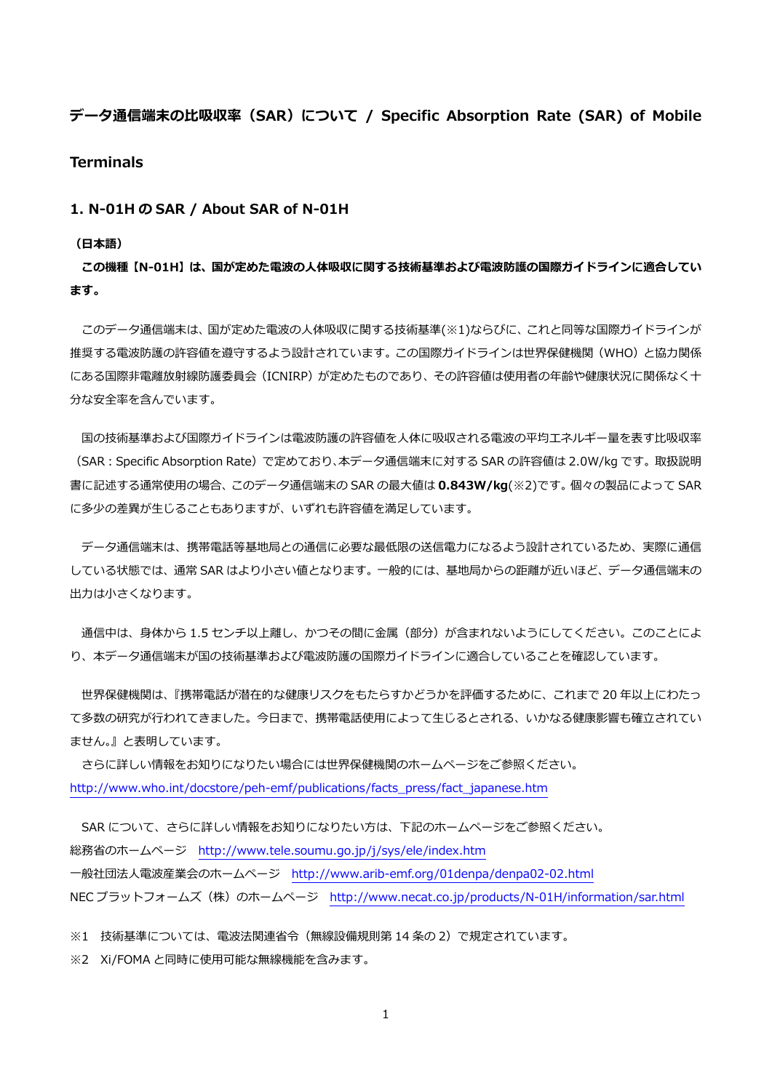# **データ通信端末の⽐吸収率(SAR)について / Specific Absorption Rate (SAR) of Mobile**

### **Terminals**

#### **1. N-01H の SAR / About SAR of N-01H**

#### **(⽇本語)**

**この機種【N-01H】は、国が定めた電波の⼈体吸収に関する技術基準および電波防護の国際ガイドラインに適合してい ます。** 

 このデータ通信端末は、国が定めた電波の⼈体吸収に関する技術基準(※1)ならびに、これと同等な国際ガイドラインが 推奨する電波防護の許容値を遵守するよう設計されています。この国際ガイドラインは世界保健機関(WHO)と協力関係 にある国際非電離放射線防護委員会(ICNIRP)が定めたものであり、その許容値は使用者の年齢や健康状況に関係なく十 分な安全率を含んでいます。

国の技術基準および国際ガイドラインは電波防護の許容値を人体に吸収される電波の平均エネルギー量を表す比吸収率 (SAR:Specific Absorption Rate)で定めており、本データ通信端末に対する SAR の許容値は 2.0W/kg です。取扱説明 書に記述する通常使⽤の場合、このデータ通信端末の SAR の最⼤値は **0.843W/kg**(※2)です。個々の製品によって SAR に多少の差異が生じることもありますが、いずれも許容値を満足しています。

 データ通信端末は、携帯電話等基地局との通信に必要な最低限の送信電⼒になるよう設計されているため、実際に通信 している状態では、通常 SAR はより⼩さい値となります。⼀般的には、基地局からの距離が近いほど、データ通信端末の 出力は小さくなります。

通信中は、身体から 1.5 センチ以上離し、かつその間に金属 (部分) が含まれないようにしてください。このことによ り、本データ通信端末が国の技術基準および電波防護の国際ガイドラインに適合していることを確認しています。

 世界保健機関は、『携帯電話が潜在的な健康リスクをもたらすかどうかを評価するために、これまで 20 年以上にわたっ て多数の研究が行われてきました。今日まで、携帯電話使用によって生じるとされる、いかなる健康影響も確立されてい ません。』と表明しています。

 さらに詳しい情報をお知りになりたい場合には世界保健機関のホームページをご参照ください。 http://www.who.int/docstore/peh-emf/publications/facts\_press/fact\_japanese.htm

SAR について、さらに詳しい情報をお知りになりたい方は、下記のホームページをご参照ください。 総務省のホームページ http://www.tele.soumu.go.jp/j/sys/ele/index.htm ⼀般社団法⼈電波産業会のホームページ http://www.arib-emf.org/01denpa/denpa02-02.html NEC プラットフォームズ(株)のホームページ http://www.necat.co.jp/products/N-01H/information/sar.html

※1 技術基準については、電波法関連省令(無線設備規則第 14 条の 2)で規定されています。

※2 Xi/FOMA と同時に使用可能な無線機能を含みます。